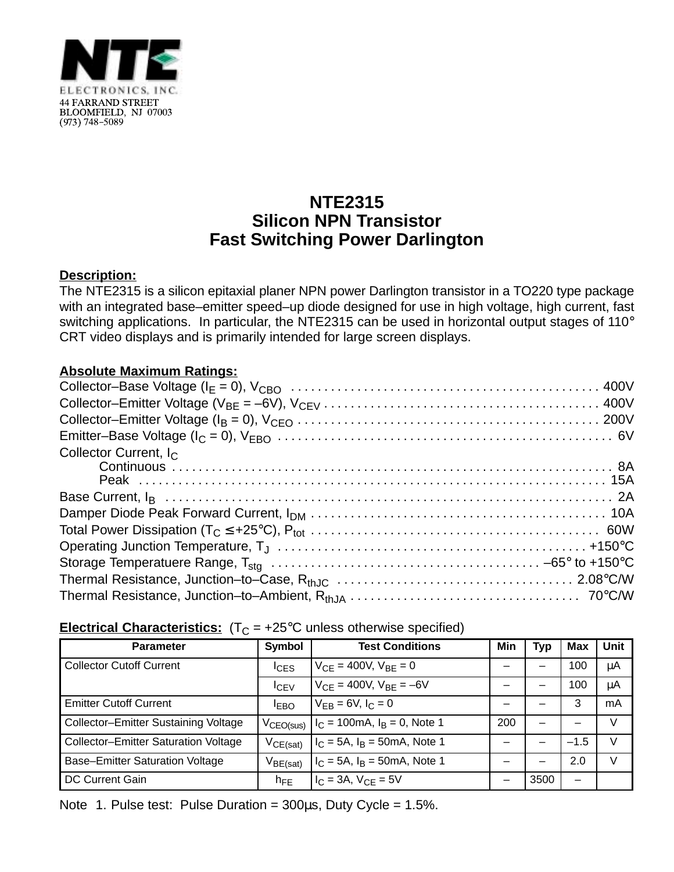

## **NTE2315 Silicon NPN Transistor Fast Switching Power Darlington**

### **Description:**

The NTE2315 is a silicon epitaxial planer NPN power Darlington transistor in a TO220 type package with an integrated base–emitter speed–up diode designed for use in high voltage, high current, fast switching applications. In particular, the NTE2315 can be used in horizontal output stages of 110° CRT video displays and is primarily intended for large screen displays.

### **Absolute Maximum Ratings:**

| Collector Current, I <sub>C</sub> |
|-----------------------------------|
|                                   |
|                                   |
|                                   |
|                                   |
|                                   |
|                                   |
|                                   |
|                                   |
|                                   |

#### **Electrical Characteristics:**  $(T_C = +25^{\circ}C$  unless otherwise specified)

| <b>Parameter</b>                            | Symbol                | <b>Test Conditions</b>                  | Min | Typ  | Max    | <b>Unit</b> |
|---------------------------------------------|-----------------------|-----------------------------------------|-----|------|--------|-------------|
| <b>Collector Cutoff Current</b>             | <sup>I</sup> CES      | $V_{CF} = 400V$ , $V_{BF} = 0$          |     |      | 100    | μA          |
|                                             | ICEV                  | $V_{CF} = 400V$ , $V_{BF} = -6V$        |     |      | 100    | μA          |
| <b>Emitter Cutoff Current</b>               | <sup>I</sup> EBO      | $V_{FR} = 6V, I_C = 0$                  |     |      | 3      | mA          |
| Collector-Emitter Sustaining Voltage        | V <sub>CEO(sus)</sub> | $I_C = 100 \text{mA}, I_B = 0$ , Note 1 | 200 |      |        | V           |
| <b>Collector-Emitter Saturation Voltage</b> | $V_{CE(sat)}$         | $I_C = 5A$ , $I_B = 50mA$ , Note 1      |     |      | $-1.5$ | v           |
| <b>Base-Emitter Saturation Voltage</b>      | $V_{BE(sat)}$         | $I_C = 5A$ , $I_B = 50mA$ , Note 1      |     |      | 2.0    | V           |
| DC Current Gain                             | $h_{FE}$              | $I_C = 3A$ , $V_{CF} = 5V$              |     | 3500 | —      |             |

Note 1. Pulse test: Pulse Duration =  $300\mu s$ , Duty Cycle =  $1.5\%$ .